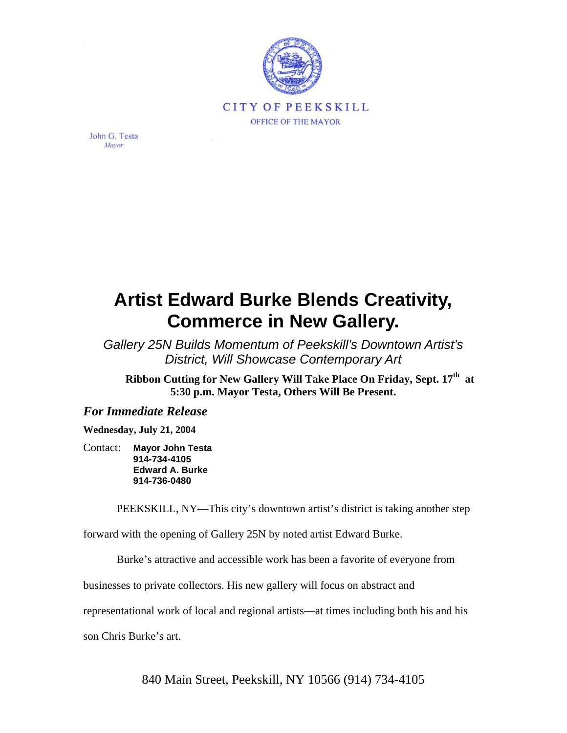

John G. Testa Mayor

## **Artist Edward Burke Blends Creativity, Commerce in New Gallery.**

*Gallery 25N Builds Momentum of Peekskill's Downtown Artist's District, Will Showcase Contemporary Art*

Ribbon Cutting for New Gallery Will Take Place On Friday, Sept. 17<sup>th</sup> at **5:30 p.m. Mayor Testa, Others Will Be Present.** 

## *For Immediate Release*

**Wednesday, July 21, 2004** 

Contact: **Mayor John Testa 914-734-4105 Edward A. Burke 914-736-0480** 

PEEKSKILL, NY—This city's downtown artist's district is taking another step

forward with the opening of Gallery 25N by noted artist Edward Burke.

Burke's attractive and accessible work has been a favorite of everyone from

businesses to private collectors. His new gallery will focus on abstract and

representational work of local and regional artists—at times including both his and his

son Chris Burke's art.

840 Main Street, Peekskill, NY 10566 (914) 734-4105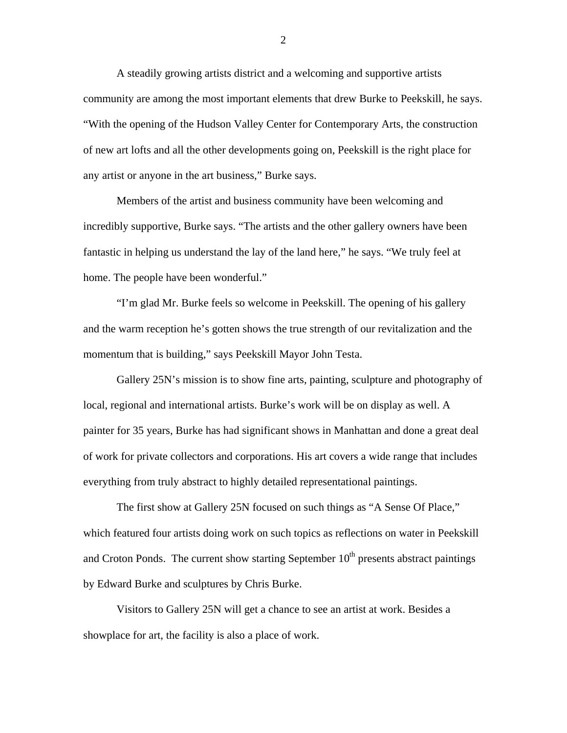A steadily growing artists district and a welcoming and supportive artists community are among the most important elements that drew Burke to Peekskill, he says. "With the opening of the Hudson Valley Center for Contemporary Arts, the construction of new art lofts and all the other developments going on, Peekskill is the right place for any artist or anyone in the art business," Burke says.

Members of the artist and business community have been welcoming and incredibly supportive, Burke says. "The artists and the other gallery owners have been fantastic in helping us understand the lay of the land here," he says. "We truly feel at home. The people have been wonderful."

"I'm glad Mr. Burke feels so welcome in Peekskill. The opening of his gallery and the warm reception he's gotten shows the true strength of our revitalization and the momentum that is building," says Peekskill Mayor John Testa.

Gallery 25N's mission is to show fine arts, painting, sculpture and photography of local, regional and international artists. Burke's work will be on display as well. A painter for 35 years, Burke has had significant shows in Manhattan and done a great deal of work for private collectors and corporations. His art covers a wide range that includes everything from truly abstract to highly detailed representational paintings.

The first show at Gallery 25N focused on such things as "A Sense Of Place," which featured four artists doing work on such topics as reflections on water in Peekskill and Croton Ponds. The current show starting September  $10<sup>th</sup>$  presents abstract paintings by Edward Burke and sculptures by Chris Burke.

Visitors to Gallery 25N will get a chance to see an artist at work. Besides a showplace for art, the facility is also a place of work.

2